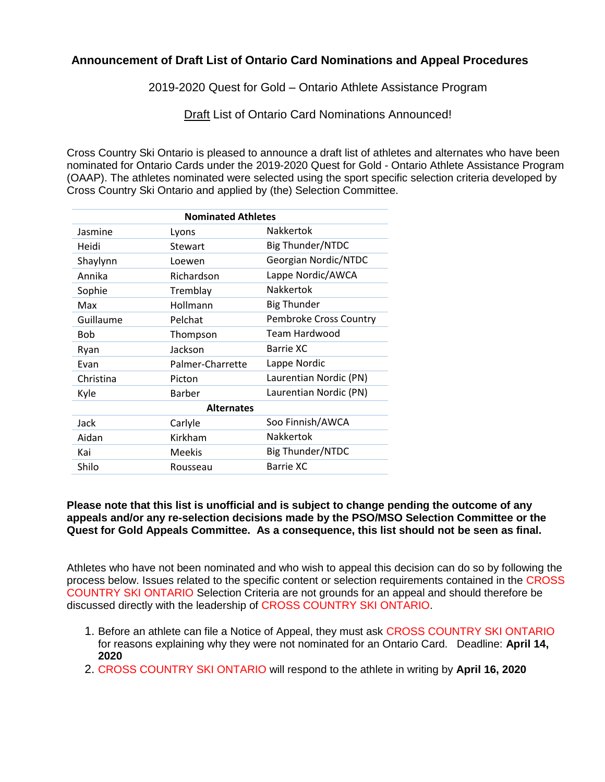### **Announcement of Draft List of Ontario Card Nominations and Appeal Procedures**

2019-2020 Quest for Gold – Ontario Athlete Assistance Program

Draft List of Ontario Card Nominations Announced!

Cross Country Ski Ontario is pleased to announce a draft list of athletes and alternates who have been nominated for Ontario Cards under the 2019-2020 Quest for Gold - Ontario Athlete Assistance Program (OAAP). The athletes nominated were selected using the sport specific selection criteria developed by Cross Country Ski Ontario and applied by (the) Selection Committee.

| <b>Nominated Athletes</b> |                  |                         |  |  |
|---------------------------|------------------|-------------------------|--|--|
| Jasmine                   | Lyons            | Nakkertok               |  |  |
| Heidi                     | Stewart          | <b>Big Thunder/NTDC</b> |  |  |
| Shaylynn                  | Loewen           | Georgian Nordic/NTDC    |  |  |
| Annika                    | Richardson       | Lappe Nordic/AWCA       |  |  |
| Sophie                    | Tremblay         | Nakkertok               |  |  |
| Max                       | Hollmann         | <b>Big Thunder</b>      |  |  |
| Guillaume                 | Pelchat          | Pembroke Cross Country  |  |  |
| <b>Bob</b>                | Thompson         | Team Hardwood           |  |  |
| Ryan                      | Jackson          | Barrie XC               |  |  |
| Evan                      | Palmer-Charrette | Lappe Nordic            |  |  |
| Christina                 | Picton           | Laurentian Nordic (PN)  |  |  |
| Kyle                      | <b>Barber</b>    | Laurentian Nordic (PN)  |  |  |
| <b>Alternates</b>         |                  |                         |  |  |
| Jack                      | Carlyle          | Soo Finnish/AWCA        |  |  |
| Aidan                     | Kirkham          | <b>Nakkertok</b>        |  |  |
| Kai                       | <b>Meekis</b>    | Big Thunder/NTDC        |  |  |
| Shilo                     | Rousseau         | <b>Barrie XC</b>        |  |  |

### **Please note that this list is unofficial and is subject to change pending the outcome of any appeals and/or any re-selection decisions made by the PSO/MSO Selection Committee or the Quest for Gold Appeals Committee. As a consequence, this list should not be seen as final.**

Athletes who have not been nominated and who wish to appeal this decision can do so by following the process below. Issues related to the specific content or selection requirements contained in the CROSS COUNTRY SKI ONTARIO Selection Criteria are not grounds for an appeal and should therefore be discussed directly with the leadership of CROSS COUNTRY SKI ONTARIO.

- 1. Before an athlete can file a Notice of Appeal, they must ask CROSS COUNTRY SKI ONTARIO for reasons explaining why they were not nominated for an Ontario Card. Deadline: **April 14, 2020**
- 2. CROSS COUNTRY SKI ONTARIO will respond to the athlete in writing by **April 16, 2020**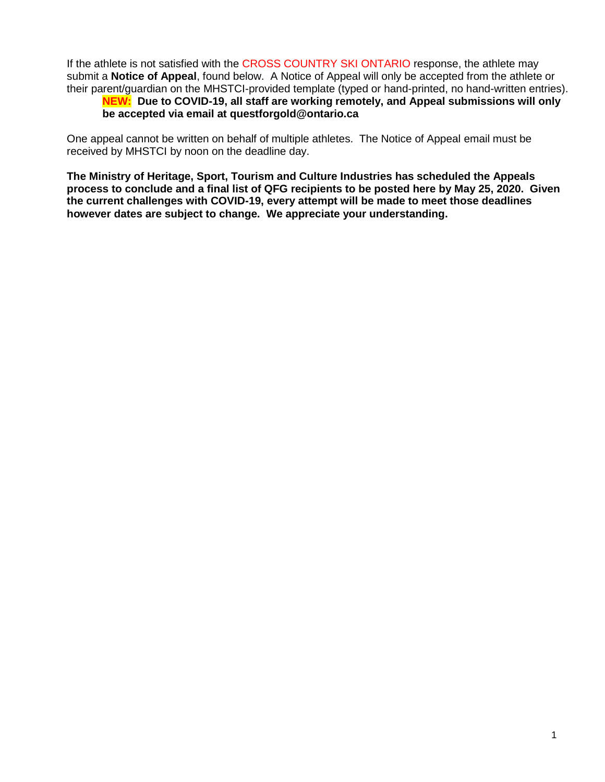If the athlete is not satisfied with the CROSS COUNTRY SKI ONTARIO response, the athlete may submit a **Notice of Appeal**, found below. A Notice of Appeal will only be accepted from the athlete or their parent/guardian on the MHSTCI-provided template (typed or hand-printed, no hand-written entries).

## **NEW: Due to COVID-19, all staff are working remotely, and Appeal submissions will only be accepted via email at questforgold@ontario.ca**

One appeal cannot be written on behalf of multiple athletes. The Notice of Appeal email must be received by MHSTCI by noon on the deadline day.

**The Ministry of Heritage, Sport, Tourism and Culture Industries has scheduled the Appeals process to conclude and a final list of QFG recipients to be posted here by May 25, 2020. Given the current challenges with COVID-19, every attempt will be made to meet those deadlines however dates are subject to change. We appreciate your understanding.**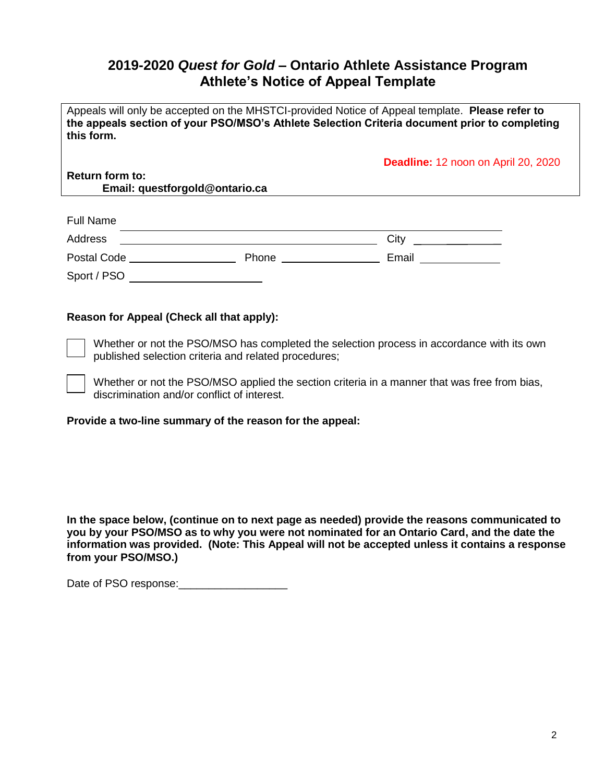# **2019-2020** *Quest for Gold* **– Ontario Athlete Assistance Program Athlete's Notice of Appeal Template**

Appeals will only be accepted on the MHSTCI-provided Notice of Appeal template. **Please refer to the appeals section of your PSO/MSO's Athlete Selection Criteria document prior to completing this form.**

**Deadline:** 12 noon on April 20, 2020

**Return form to: Email: questforgold@ontario.ca**

| <b>Full Name</b>   |       |       |
|--------------------|-------|-------|
| Address            |       | City  |
| <b>Postal Code</b> | Phone | Email |
| Sport / PSO        |       |       |

### **Reason for Appeal (Check all that apply):**

Whether or not the PSO/MSO has completed the selection process in accordance with its own published selection criteria and related procedures;

Whether or not the PSO/MSO applied the section criteria in a manner that was free from bias, discrimination and/or conflict of interest.

**Provide a two-line summary of the reason for the appeal:** 

**In the space below, (continue on to next page as needed) provide the reasons communicated to you by your PSO/MSO as to why you were not nominated for an Ontario Card, and the date the information was provided. (Note: This Appeal will not be accepted unless it contains a response from your PSO/MSO.)**

Date of PSO response: